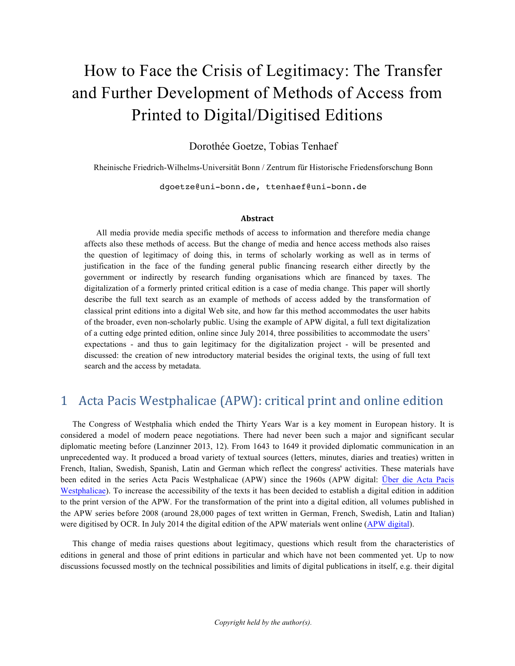# How to Face the Crisis of Legitimacy: The Transfer and Further Development of Methods of Access from Printed to Digital/Digitised Editions

Dorothée Goetze, Tobias Tenhaef

Rheinische Friedrich-Wilhelms-Universität Bonn / Zentrum für Historische Friedensforschung Bonn

dgoetze@uni-bonn.de, ttenhaef@uni-bonn.de

#### **Abstract**

All media provide media specific methods of access to information and therefore media change affects also these methods of access. But the change of media and hence access methods also raises the question of legitimacy of doing this, in terms of scholarly working as well as in terms of justification in the face of the funding general public financing research either directly by the government or indirectly by research funding organisations which are financed by taxes. The digitalization of a formerly printed critical edition is a case of media change. This paper will shortly describe the full text search as an example of methods of access added by the transformation of classical print editions into a digital Web site, and how far this method accommodates the user habits of the broader, even non-scholarly public. Using the example of APW digital, a full text digitalization of a cutting edge printed edition, online since July 2014, three possibilities to accommodate the users' expectations - and thus to gain legitimacy for the digitalization project - will be presented and discussed: the creation of new introductory material besides the original texts, the using of full text search and the access by metadata.

### 1 Acta Pacis Westphalicae (APW): critical print and online edition

The Congress of Westphalia which ended the Thirty Years War is a key moment in European history. It is considered a model of modern peace negotiations. There had never been such a major and significant secular diplomatic meeting before (Lanzinner 2013, 12). From 1643 to 1649 it provided diplomatic communication in an unprecedented way. It produced a broad variety of textual sources (letters, minutes, diaries and treaties) written in French, Italian, Swedish, Spanish, Latin and German which reflect the congress' activities. These materials have been edited in the series Acta Pacis Westphalicae (APW) since the 1960s (APW digital: Über die Acta Pacis Westphalicae). To increase the accessibility of the texts it has been decided to establish a digital edition in addition to the print version of the APW. For the transformation of the print into a digital edition, all volumes published in the APW series before 2008 (around 28,000 pages of text written in German, French, Swedish, Latin and Italian) were digitised by OCR. In July 2014 the digital edition of the APW materials went online (APW digital).

This change of media raises questions about legitimacy, questions which result from the characteristics of editions in general and those of print editions in particular and which have not been commented yet. Up to now discussions focussed mostly on the technical possibilities and limits of digital publications in itself, e.g. their digital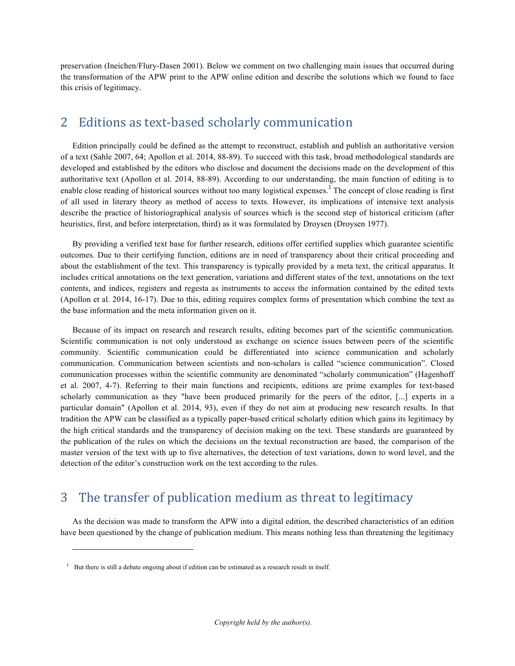preservation (Ineichen/Flury-Dasen 2001). Below we comment on two challenging main issues that occurred during the transformation of the APW print to the APW online edition and describe the solutions which we found to face this crisis of legitimacy.

## 2 Editions as text-based scholarly communication

Edition principally could be defined as the attempt to reconstruct, establish and publish an authoritative version of a text (Sahle 2007, 64; Apollon et al. 2014, 88-89). To succeed with this task, broad methodological standards are developed and established by the editors who disclose and document the decisions made on the development of this authoritative text (Apollon et al. 2014, 88-89). According to our understanding, the main function of editing is to enable close reading of historical sources without too many logistical expenses.<sup>1</sup> The concept of close reading is first of all used in literary theory as method of access to texts. However, its implications of intensive text analysis describe the practice of historiographical analysis of sources which is the second step of historical criticism (after heuristics, first, and before interpretation, third) as it was formulated by Droysen (Droysen 1977).

By providing a verified text base for further research, editions offer certified supplies which guarantee scientific outcomes. Due to their certifying function, editions are in need of transparency about their critical proceeding and about the establishment of the text. This transparency is typically provided by a meta text, the critical apparatus. It includes critical annotations on the text generation, variations and different states of the text, annotations on the text contents, and indices, registers and regesta as instruments to access the information contained by the edited texts (Apollon et al. 2014, 16-17). Due to this, editing requires complex forms of presentation which combine the text as the base information and the meta information given on it.

Because of its impact on research and research results, editing becomes part of the scientific communication. Scientific communication is not only understood as exchange on science issues between peers of the scientific community. Scientific communication could be differentiated into science communication and scholarly communication. Communication between scientists and non-scholars is called "science communication". Closed communication processes within the scientific community are denominated "scholarly communication" (Hagenhoff et al. 2007, 4-7). Referring to their main functions and recipients, editions are prime examples for text-based scholarly communication as they "have been produced primarily for the peers of the editor, [...] experts in a particular domain" (Apollon et al. 2014, 93), even if they do not aim at producing new research results. In that tradition the APW can be classified as a typically paper-based critical scholarly edition which gains its legitimacy by the high critical standards and the transparency of decision making on the text. These standards are guaranteed by the publication of the rules on which the decisions on the textual reconstruction are based, the comparison of the master version of the text with up to five alternatives, the detection of text variations, down to word level, and the detection of the editor's construction work on the text according to the rules.

# 3 The transfer of publication medium as threat to legitimacy

As the decision was made to transform the APW into a digital edition, the described characteristics of an edition have been questioned by the change of publication medium. This means nothing less than threatening the legitimacy

1

 $1$  But there is still a debate ongoing about if edition can be estimated as a research result in itself.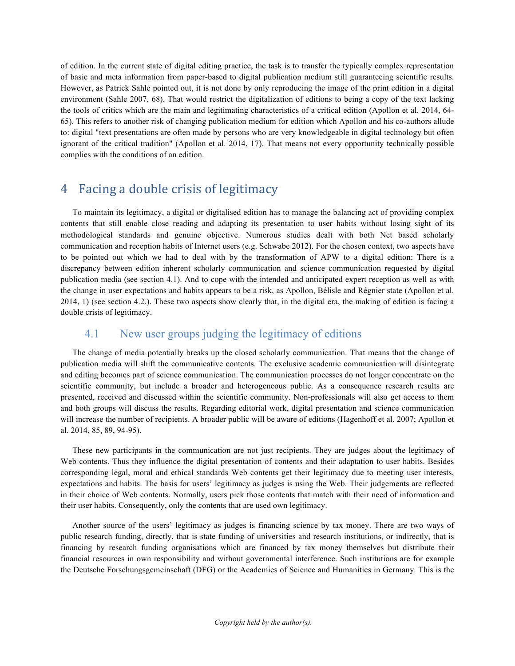of edition. In the current state of digital editing practice, the task is to transfer the typically complex representation of basic and meta information from paper-based to digital publication medium still guaranteeing scientific results. However, as Patrick Sahle pointed out, it is not done by only reproducing the image of the print edition in a digital environment (Sahle 2007, 68). That would restrict the digitalization of editions to being a copy of the text lacking the tools of critics which are the main and legitimating characteristics of a critical edition (Apollon et al. 2014, 64- 65). This refers to another risk of changing publication medium for edition which Apollon and his co-authors allude to: digital "text presentations are often made by persons who are very knowledgeable in digital technology but often ignorant of the critical tradition" (Apollon et al. 2014, 17). That means not every opportunity technically possible complies with the conditions of an edition.

# 4 Facing a double crisis of legitimacy

To maintain its legitimacy, a digital or digitalised edition has to manage the balancing act of providing complex contents that still enable close reading and adapting its presentation to user habits without losing sight of its methodological standards and genuine objective. Numerous studies dealt with both Net based scholarly communication and reception habits of Internet users (e.g. Schwabe 2012). For the chosen context, two aspects have to be pointed out which we had to deal with by the transformation of APW to a digital edition: There is a discrepancy between edition inherent scholarly communication and science communication requested by digital publication media (see section 4.1). And to cope with the intended and anticipated expert reception as well as with the change in user expectations and habits appears to be a risk, as Apollon, Bélisle and Régnier state (Apollon et al. 2014, 1) (see section 4.2.). These two aspects show clearly that, in the digital era, the making of edition is facing a double crisis of legitimacy.

#### 4.1 New user groups judging the legitimacy of editions

The change of media potentially breaks up the closed scholarly communication. That means that the change of publication media will shift the communicative contents. The exclusive academic communication will disintegrate and editing becomes part of science communication. The communication processes do not longer concentrate on the scientific community, but include a broader and heterogeneous public. As a consequence research results are presented, received and discussed within the scientific community. Non-professionals will also get access to them and both groups will discuss the results. Regarding editorial work, digital presentation and science communication will increase the number of recipients. A broader public will be aware of editions (Hagenhoff et al. 2007; Apollon et al. 2014, 85, 89, 94-95).

These new participants in the communication are not just recipients. They are judges about the legitimacy of Web contents. Thus they influence the digital presentation of contents and their adaptation to user habits. Besides corresponding legal, moral and ethical standards Web contents get their legitimacy due to meeting user interests, expectations and habits. The basis for users' legitimacy as judges is using the Web. Their judgements are reflected in their choice of Web contents. Normally, users pick those contents that match with their need of information and their user habits. Consequently, only the contents that are used own legitimacy.

Another source of the users' legitimacy as judges is financing science by tax money. There are two ways of public research funding, directly, that is state funding of universities and research institutions, or indirectly, that is financing by research funding organisations which are financed by tax money themselves but distribute their financial resources in own responsibility and without governmental interference. Such institutions are for example the Deutsche Forschungsgemeinschaft (DFG) or the Academies of Science and Humanities in Germany. This is the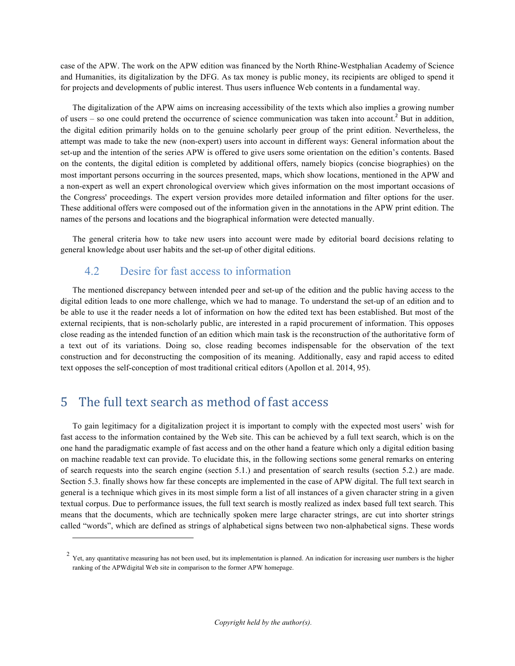case of the APW. The work on the APW edition was financed by the North Rhine-Westphalian Academy of Science and Humanities, its digitalization by the DFG. As tax money is public money, its recipients are obliged to spend it for projects and developments of public interest. Thus users influence Web contents in a fundamental way.

The digitalization of the APW aims on increasing accessibility of the texts which also implies a growing number of users – so one could pretend the occurrence of science communication was taken into account.<sup>2</sup> But in addition, the digital edition primarily holds on to the genuine scholarly peer group of the print edition. Nevertheless, the attempt was made to take the new (non-expert) users into account in different ways: General information about the set-up and the intention of the series APW is offered to give users some orientation on the edition's contents. Based on the contents, the digital edition is completed by additional offers, namely biopics (concise biographies) on the most important persons occurring in the sources presented, maps, which show locations, mentioned in the APW and a non-expert as well an expert chronological overview which gives information on the most important occasions of the Congress' proceedings. The expert version provides more detailed information and filter options for the user. These additional offers were composed out of the information given in the annotations in the APW print edition. The names of the persons and locations and the biographical information were detected manually.

The general criteria how to take new users into account were made by editorial board decisions relating to general knowledge about user habits and the set-up of other digital editions.

#### 4.2 Desire for fast access to information

The mentioned discrepancy between intended peer and set-up of the edition and the public having access to the digital edition leads to one more challenge, which we had to manage. To understand the set-up of an edition and to be able to use it the reader needs a lot of information on how the edited text has been established. But most of the external recipients, that is non-scholarly public, are interested in a rapid procurement of information. This opposes close reading as the intended function of an edition which main task is the reconstruction of the authoritative form of a text out of its variations. Doing so, close reading becomes indispensable for the observation of the text construction and for deconstructing the composition of its meaning. Additionally, easy and rapid access to edited text opposes the self-conception of most traditional critical editors (Apollon et al. 2014, 95).

### 5 The full text search as method of fast access

1

To gain legitimacy for a digitalization project it is important to comply with the expected most users' wish for fast access to the information contained by the Web site. This can be achieved by a full text search, which is on the one hand the paradigmatic example of fast access and on the other hand a feature which only a digital edition basing on machine readable text can provide. To elucidate this, in the following sections some general remarks on entering of search requests into the search engine (section 5.1.) and presentation of search results (section 5.2.) are made. Section 5.3. finally shows how far these concepts are implemented in the case of APW digital. The full text search in general is a technique which gives in its most simple form a list of all instances of a given character string in a given textual corpus. Due to performance issues, the full text search is mostly realized as index based full text search. This means that the documents, which are technically spoken mere large character strings, are cut into shorter strings called "words", which are defined as strings of alphabetical signs between two non-alphabetical signs. These words

 $2$  Yet, any quantitative measuring has not been used, but its implementation is planned. An indication for increasing user numbers is the higher ranking of the APWdigital Web site in comparison to the former APW homepage.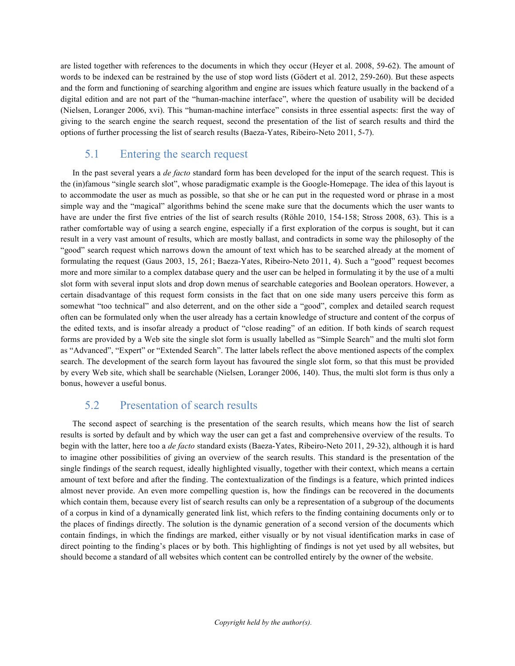are listed together with references to the documents in which they occur (Heyer et al. 2008, 59-62). The amount of words to be indexed can be restrained by the use of stop word lists (Gödert et al. 2012, 259-260). But these aspects and the form and functioning of searching algorithm and engine are issues which feature usually in the backend of a digital edition and are not part of the "human-machine interface", where the question of usability will be decided (Nielsen, Loranger 2006, xvi). This "human-machine interface" consists in three essential aspects: first the way of giving to the search engine the search request, second the presentation of the list of search results and third the options of further processing the list of search results (Baeza-Yates, Ribeiro-Neto 2011, 5-7).

#### 5.1 Entering the search request

In the past several years a *de facto* standard form has been developed for the input of the search request. This is the (in)famous "single search slot", whose paradigmatic example is the Google-Homepage. The idea of this layout is to accommodate the user as much as possible, so that she or he can put in the requested word or phrase in a most simple way and the "magical" algorithms behind the scene make sure that the documents which the user wants to have are under the first five entries of the list of search results (Röhle 2010, 154-158; Stross 2008, 63). This is a rather comfortable way of using a search engine, especially if a first exploration of the corpus is sought, but it can result in a very vast amount of results, which are mostly ballast, and contradicts in some way the philosophy of the "good" search request which narrows down the amount of text which has to be searched already at the moment of formulating the request (Gaus 2003, 15, 261; Baeza-Yates, Ribeiro-Neto 2011, 4). Such a "good" request becomes more and more similar to a complex database query and the user can be helped in formulating it by the use of a multi slot form with several input slots and drop down menus of searchable categories and Boolean operators. However, a certain disadvantage of this request form consists in the fact that on one side many users perceive this form as somewhat "too technical" and also deterrent, and on the other side a "good", complex and detailed search request often can be formulated only when the user already has a certain knowledge of structure and content of the corpus of the edited texts, and is insofar already a product of "close reading" of an edition. If both kinds of search request forms are provided by a Web site the single slot form is usually labelled as "Simple Search" and the multi slot form as "Advanced", "Expert" or "Extended Search". The latter labels reflect the above mentioned aspects of the complex search. The development of the search form layout has favoured the single slot form, so that this must be provided by every Web site, which shall be searchable (Nielsen, Loranger 2006, 140). Thus, the multi slot form is thus only a bonus, however a useful bonus.

#### 5.2 Presentation of search results

The second aspect of searching is the presentation of the search results, which means how the list of search results is sorted by default and by which way the user can get a fast and comprehensive overview of the results. To begin with the latter, here too a *de facto* standard exists (Baeza-Yates, Ribeiro-Neto 2011, 29-32), although it is hard to imagine other possibilities of giving an overview of the search results. This standard is the presentation of the single findings of the search request, ideally highlighted visually, together with their context, which means a certain amount of text before and after the finding. The contextualization of the findings is a feature, which printed indices almost never provide. An even more compelling question is, how the findings can be recovered in the documents which contain them, because every list of search results can only be a representation of a subgroup of the documents of a corpus in kind of a dynamically generated link list, which refers to the finding containing documents only or to the places of findings directly. The solution is the dynamic generation of a second version of the documents which contain findings, in which the findings are marked, either visually or by not visual identification marks in case of direct pointing to the finding's places or by both. This highlighting of findings is not yet used by all websites, but should become a standard of all websites which content can be controlled entirely by the owner of the website.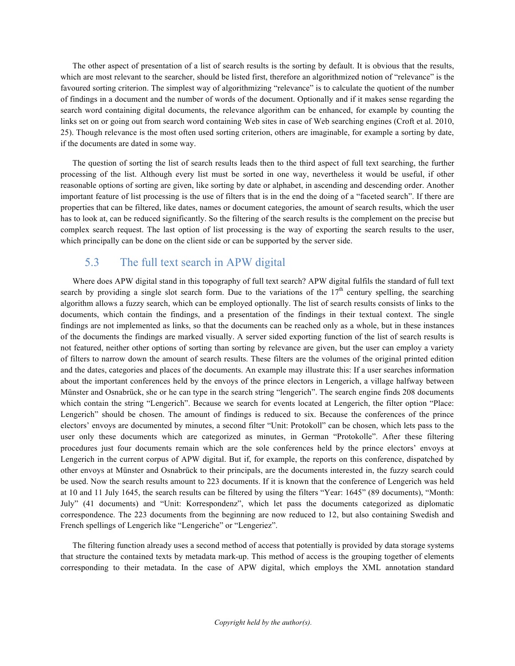The other aspect of presentation of a list of search results is the sorting by default. It is obvious that the results, which are most relevant to the searcher, should be listed first, therefore an algorithmized notion of "relevance" is the favoured sorting criterion. The simplest way of algorithmizing "relevance" is to calculate the quotient of the number of findings in a document and the number of words of the document. Optionally and if it makes sense regarding the search word containing digital documents, the relevance algorithm can be enhanced, for example by counting the links set on or going out from search word containing Web sites in case of Web searching engines (Croft et al. 2010, 25). Though relevance is the most often used sorting criterion, others are imaginable, for example a sorting by date, if the documents are dated in some way.

The question of sorting the list of search results leads then to the third aspect of full text searching, the further processing of the list. Although every list must be sorted in one way, nevertheless it would be useful, if other reasonable options of sorting are given, like sorting by date or alphabet, in ascending and descending order. Another important feature of list processing is the use of filters that is in the end the doing of a "faceted search". If there are properties that can be filtered, like dates, names or document categories, the amount of search results, which the user has to look at, can be reduced significantly. So the filtering of the search results is the complement on the precise but complex search request. The last option of list processing is the way of exporting the search results to the user, which principally can be done on the client side or can be supported by the server side.

#### 5.3 The full text search in APW digital

Where does APW digital stand in this topography of full text search? APW digital fulfils the standard of full text search by providing a single slot search form. Due to the variations of the  $17<sup>th</sup>$  century spelling, the searching algorithm allows a fuzzy search, which can be employed optionally. The list of search results consists of links to the documents, which contain the findings, and a presentation of the findings in their textual context. The single findings are not implemented as links, so that the documents can be reached only as a whole, but in these instances of the documents the findings are marked visually. A server sided exporting function of the list of search results is not featured, neither other options of sorting than sorting by relevance are given, but the user can employ a variety of filters to narrow down the amount of search results. These filters are the volumes of the original printed edition and the dates, categories and places of the documents. An example may illustrate this: If a user searches information about the important conferences held by the envoys of the prince electors in Lengerich, a village halfway between Münster and Osnabrück, she or he can type in the search string "lengerich". The search engine finds 208 documents which contain the string "Lengerich". Because we search for events located at Lengerich, the filter option "Place: Lengerich" should be chosen. The amount of findings is reduced to six. Because the conferences of the prince electors' envoys are documented by minutes, a second filter "Unit: Protokoll" can be chosen, which lets pass to the user only these documents which are categorized as minutes, in German "Protokolle". After these filtering procedures just four documents remain which are the sole conferences held by the prince electors' envoys at Lengerich in the current corpus of APW digital. But if, for example, the reports on this conference, dispatched by other envoys at Münster and Osnabrück to their principals, are the documents interested in, the fuzzy search could be used. Now the search results amount to 223 documents. If it is known that the conference of Lengerich was held at 10 and 11 July 1645, the search results can be filtered by using the filters "Year: 1645" (89 documents), "Month: July" (41 documents) and "Unit: Korrespondenz", which let pass the documents categorized as diplomatic correspondence. The 223 documents from the beginning are now reduced to 12, but also containing Swedish and French spellings of Lengerich like "Lengeriche" or "Lengeriez".

The filtering function already uses a second method of access that potentially is provided by data storage systems that structure the contained texts by metadata mark-up. This method of access is the grouping together of elements corresponding to their metadata. In the case of APW digital, which employs the XML annotation standard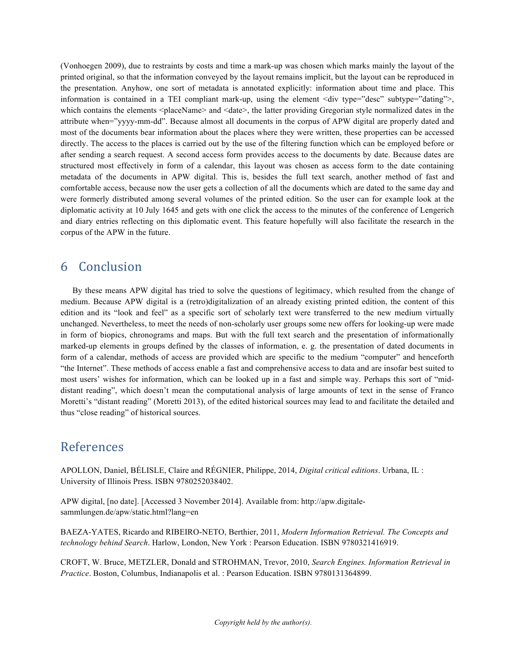(Vonhoegen 2009), due to restraints by costs and time a mark-up was chosen which marks mainly the layout of the printed original, so that the information conveyed by the layout remains implicit, but the layout can be reproduced in the presentation. Anyhow, one sort of metadata is annotated explicitly: information about time and place. This information is contained in a TEI compliant mark-up, using the element <div type="desc" subtype="dating">, which contains the elements <placeName> and <date>, the latter providing Gregorian style normalized dates in the attribute when="yyyy-mm-dd". Because almost all documents in the corpus of APW digital are properly dated and most of the documents bear information about the places where they were written, these properties can be accessed directly. The access to the places is carried out by the use of the filtering function which can be employed before or after sending a search request. A second access form provides access to the documents by date. Because dates are structured most effectively in form of a calendar, this layout was chosen as access form to the date containing metadata of the documents in APW digital. This is, besides the full text search, another method of fast and comfortable access, because now the user gets a collection of all the documents which are dated to the same day and were formerly distributed among several volumes of the printed edition. So the user can for example look at the diplomatic activity at 10 July 1645 and gets with one click the access to the minutes of the conference of Lengerich and diary entries reflecting on this diplomatic event. This feature hopefully will also facilitate the research in the corpus of the APW in the future.

#### 6 Conclusion

By these means APW digital has tried to solve the questions of legitimacy, which resulted from the change of medium. Because APW digital is a (retro)digitalization of an already existing printed edition, the content of this edition and its "look and feel" as a specific sort of scholarly text were transferred to the new medium virtually unchanged. Nevertheless, to meet the needs of non-scholarly user groups some new offers for looking-up were made in form of biopics, chronograms and maps. But with the full text search and the presentation of informationally marked-up elements in groups defined by the classes of information, e. g. the presentation of dated documents in form of a calendar, methods of access are provided which are specific to the medium "computer" and henceforth "the Internet". These methods of access enable a fast and comprehensive access to data and are insofar best suited to most users' wishes for information, which can be looked up in a fast and simple way. Perhaps this sort of "middistant reading", which doesn't mean the computational analysis of large amounts of text in the sense of Franco Moretti's "distant reading" (Moretti 2013), of the edited historical sources may lead to and facilitate the detailed and thus "close reading" of historical sources.

# References

APOLLON, Daniel, BÉLISLE, Claire and RÉGNIER, Philippe, 2014, *Digital critical editions*. Urbana, IL : University of Illinois Press. ISBN 9780252038402.

APW digital, [no date]. [Accessed 3 November 2014]. Available from: http://apw.digitalesammlungen.de/apw/static.html?lang=en

BAEZA-YATES, Ricardo and RIBEIRO-NETO, Berthier, 2011, *Modern Information Retrieval. The Concepts and technology behind Search*. Harlow, London, New York : Pearson Education. ISBN 9780321416919.

CROFT, W. Bruce, METZLER, Donald and STROHMAN, Trevor, 2010, *Search Engines. Information Retrieval in Practice*. Boston, Columbus, Indianapolis et al. : Pearson Education. ISBN 9780131364899.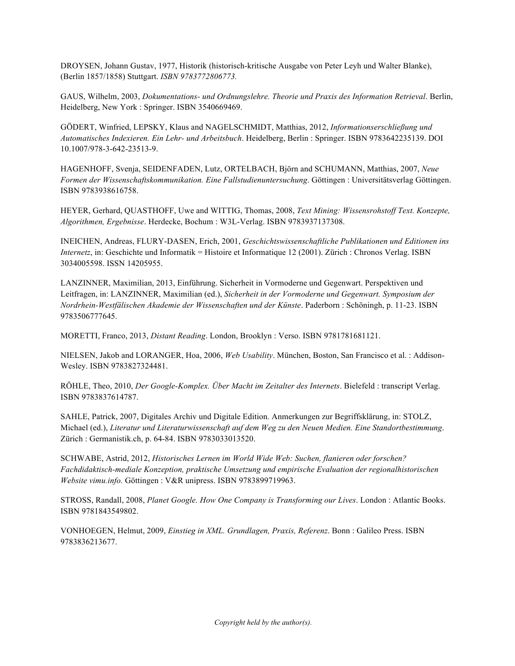DROYSEN, Johann Gustav, 1977, Historik (historisch-kritische Ausgabe von Peter Leyh und Walter Blanke), (Berlin 1857/1858) Stuttgart. *ISBN 9783772806773.*

GAUS, Wilhelm, 2003, *Dokumentations- und Ordnungslehre. Theorie und Praxis des Information Retrieval*. Berlin, Heidelberg, New York : Springer. ISBN 3540669469.

GÖDERT, Winfried, LEPSKY, Klaus and NAGELSCHMIDT, Matthias, 2012, *Informationserschließung und Automatisches Indexieren. Ein Lehr- und Arbeitsbuch*. Heidelberg, Berlin : Springer. ISBN 9783642235139. DOI 10.1007/978-3-642-23513-9.

HAGENHOFF, Svenja, SEIDENFADEN, Lutz, ORTELBACH, Björn and SCHUMANN, Matthias, 2007, *Neue Formen der Wissenschaftskommunikation. Eine Fallstudienuntersuchung*. Göttingen : Universitätsverlag Göttingen. ISBN 9783938616758.

HEYER, Gerhard, QUASTHOFF, Uwe and WITTIG, Thomas, 2008, *Text Mining: Wissensrohstoff Text. Konzepte, Algorithmen, Ergebnisse*. Herdecke, Bochum : W3L-Verlag. ISBN 9783937137308.

INEICHEN, Andreas, FLURY-DASEN, Erich, 2001, *Geschichtswissenschaftliche Publikationen und Editionen ins Internetz*, in: Geschichte und Informatik = Histoire et Informatique 12 (2001). Zürich : Chronos Verlag. ISBN 3034005598. ISSN 14205955.

LANZINNER, Maximilian, 2013, Einführung. Sicherheit in Vormoderne und Gegenwart. Perspektiven und Leitfragen, in: LANZINNER, Maximilian (ed.), *Sicherheit in der Vormoderne und Gegenwart. Symposium der Nordrhein-Westfälischen Akademie der Wissenschaften und der Künste*. Paderborn : Schöningh, p. 11-23. ISBN 9783506777645.

MORETTI, Franco, 2013, *Distant Reading*. London, Brooklyn : Verso. ISBN 9781781681121.

NIELSEN, Jakob and LORANGER, Hoa, 2006, *Web Usability*. München, Boston, San Francisco et al. : Addison-Wesley. ISBN 9783827324481.

RÖHLE, Theo, 2010, *Der Google-Komplex. Über Macht im Zeitalter des Internets*. Bielefeld : transcript Verlag. ISBN 9783837614787.

SAHLE, Patrick, 2007, Digitales Archiv und Digitale Edition. Anmerkungen zur Begriffsklärung, in: STOLZ, Michael (ed.), *Literatur und Literaturwissenschaft auf dem Weg zu den Neuen Medien. Eine Standortbestimmung*. Zürich : Germanistik.ch, p. 64-84. ISBN 9783033013520.

SCHWABE, Astrid, 2012, *Historisches Lernen im World Wide Web: Suchen, flanieren oder forschen? Fachdidaktisch-mediale Konzeption, praktische Umsetzung und empirische Evaluation der regionalhistorischen Website vimu.info.* Göttingen : V&R unipress. ISBN 9783899719963.

STROSS, Randall, 2008, *Planet Google. How One Company is Transforming our Lives*. London : Atlantic Books. ISBN 9781843549802.

VONHOEGEN, Helmut, 2009, *Einstieg in XML. Grundlagen, Praxis, Referenz*. Bonn : Galileo Press. ISBN 9783836213677.